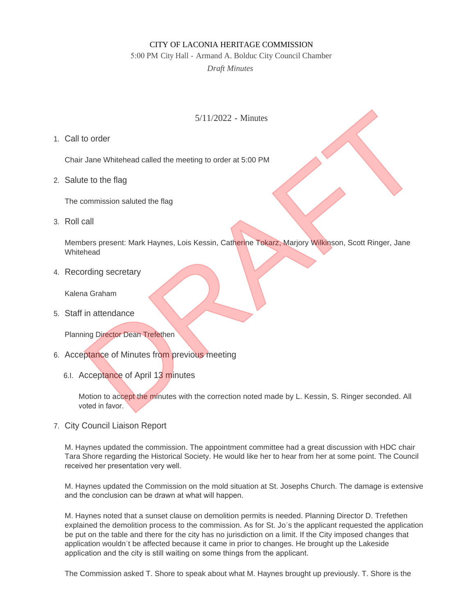## CITY OF LACONIA HERITAGE COMMISSION

5:00 PM City Hall - Armand A. Bolduc City Council Chamber

*Draft Minutes*

## 5/11/2022 - Minutes

Call to order 1.

Chair Jane Whitehead called the meeting to order at 5:00 PM

2. Salute to the flag

The commission saluted the flag

3. Roll call

Members present: Mark Haynes, Lois Kessin, Catherine Tokarz, Marjory Wilkinson, Scott Ringer, Jane **Whitehead** 5/11/2022 - Minutes<br>
to order<br>
Jane Whitehead called the meeting to order at 5:00 PM<br>
te to the flag<br>
commission saluted the flag<br>
call<br>
bees present. Mark Haynes, Lois Kessin, Catherine Tokarz, Marjory Wilkinson, Scott Ri

4. Recording secretary

Kalena Graham

Staff in attendance 5.

Planning Director Dean Trefethen

- 6. Acceptance of Minutes from previous meeting
	- 6.I. Acceptance of April 13 minutes

Motion to accept the minutes with the correction noted made by L. Kessin, S. Ringer seconded. All voted in favor.

7. City Council Liaison Report

M. Haynes updated the commission. The appointment committee had a great discussion with HDC chair Tara Shore regarding the Historical Society. He would like her to hear from her at some point. The Council received her presentation very well.

M. Haynes updated the Commission on the mold situation at St. Josephs Church. The damage is extensive and the conclusion can be drawn at what will happen.

M. Haynes noted that a sunset clause on demolition permits is needed. Planning Director D. Trefethen explained the demolition process to the commission. As for St. Jo's the applicant requested the application be put on the table and there for the city has no jurisdiction on a limit. If the City imposed changes that application wouldn't be affected because it came in prior to changes. He brought up the Lakeside application and the city is still waiting on some things from the applicant.

The Commission asked T. Shore to speak about what M. Haynes brought up previously. T. Shore is the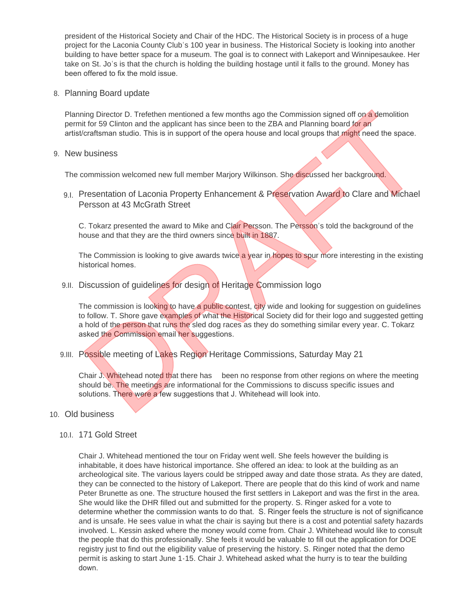president of the Historical Society and Chair of the HDC. The Historical Society is in process of a huge project for the Laconia County Club's 100 year in business. The Historical Society is looking into another building to have better space for a museum. The goal is to connect with Lakeport and Winnipesaukee. Her take on St. Jo's is that the church is holding the building hostage until it falls to the ground. Money has been offered to fix the mold issue.

Planning Board update 8.

Planning Director D. Trefethen mentioned a few months ago the Commission signed off on a demolition permit for 59 Clinton and the applicant has since been to the ZBA and Planning board for an artist/craftsman studio. This is in support of the opera house and local groups that might need the space.

9. New business

The commission welcomed new full member Marjory Wilkinson. She discussed her background.

9.I. Presentation of Laconia Property Enhancement & Preservation Award to Clare and Michael Persson at 43 McGrath Street

C. Tokarz presented the award to Mike and Clair Persson. The Persson's told the background of the house and that they are the third owners since built in 1887.

The Commission is looking to give awards twice a year in hopes to spur more interesting in the existing historical homes.

9.II. Discussion of guidelines for design of Heritage Commission logo

The commission is looking to have a public contest, city wide and looking for suggestion on guidelines to follow. T. Shore gave examples of what the Historical Society did for their logo and suggested getting a hold of the person that runs the sled dog races as they do something similar every year. C. Tokarz asked the Commission email her suggestions. ning Director D. Trefethen mentioned a few months ago the Commission signal off on a demolition<br>tror 59 Clinton and the applicant has since been to the ZBA and Planning board for an<br>Identify the resonant office opera house

9.III. Possible meeting of Lakes Region Heritage Commissions, Saturday May 21

Chair J. Whitehead noted that there has been no response from other regions on where the meeting should be. The meetings are informational for the Commissions to discuss specific issues and solutions. There were a few suggestions that J. Whitehead will look into.

- 10. Old business
	- 10.I. 171 Gold Street

Chair J. Whitehead mentioned the tour on Friday went well. She feels however the building is inhabitable, it does have historical importance. She offered an idea: to look at the building as an archeological site. The various layers could be stripped away and date those strata. As they are dated, they can be connected to the history of Lakeport. There are people that do this kind of work and name Peter Brunette as one. The structure housed the first settlers in Lakeport and was the first in the area. She would like the DHR filled out and submitted for the property. S. Ringer asked for a vote to determine whether the commission wants to do that. S. Ringer feels the structure is not of significance and is unsafe. He sees value in what the chair is saying but there is a cost and potential safety hazards involved. L. Kessin asked where the money would come from. Chair J. Whitehead would like to consult the people that do this professionally. She feels it would be valuable to fill out the application for DOE registry just to find out the eligibility value of preserving the history. S. Ringer noted that the demo permit is asking to start June 1-15. Chair J. Whitehead asked what the hurry is to tear the building down.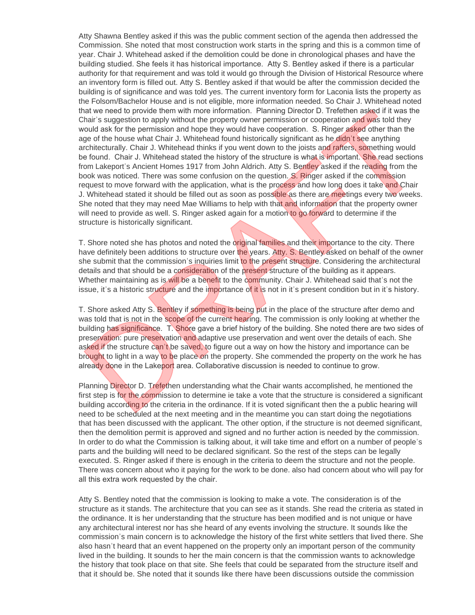Atty Shawna Bentley asked if this was the public comment section of the agenda then addressed the Commission. She noted that most construction work starts in the spring and this is a common time of year. Chair J. Whitehead asked if the demolition could be done in chronological phases and have the building studied. She feels it has historical importance. Atty S. Bentley asked if there is a particular authority for that requirement and was told it would go through the Division of Historical Resource where an inventory form is filled out. Atty S. Bentley asked if that would be after the commission decided the building is of significance and was told yes. The current inventory form for Laconia lists the property as the Folsom/Bachelor House and is not eligible, more information needed. So Chair J. Whitehead noted that we need to provide them with more information. Planning Director D. Trefethen asked if it was the Chair's suggestion to apply without the property owner permission or cooperation and was told they would ask for the permission and hope they would have cooperation. S. Ringer asked other than the age of the house what Chair J. Whitehead found historically significant as he didn't see anything architecturally. Chair J. Whitehead thinks if you went down to the joists and rafters, something would be found. Chair J. Whitehead stated the history of the structure is what is important. She read sections from Lakeport's Ancient Homes 1917 from John Aldrich. Atty S. Bentley asked if the reading from the book was noticed. There was some confusion on the question. S. Ringer asked if the commission request to move forward with the application, what is the process and how long does it take and Chair J. Whitehead stated it should be filled out as soon as possible as there are meetings every two weeks. She noted that they may need Mae Williams to help with that and information that the property owner will need to provide as well. S. Ringer asked again for a motion to go forward to determine if the structure is historically significant. hat we need to provide them with more information. Planning Director D. Trefethen asked if it was the property own of the property owner permission or cooperation and was to the ty why the property owner permission or coop

T. Shore noted she has photos and noted the original families and their importance to the city. There have definitely been additions to structure over the years. Atty, S. Bentley asked on behalf of the owner she submit that the commission's inquiries limit to the present structure. Considering the architectural details and that should be a consideration of the present structure of the building as it appears. Whether maintaining as is will be a benefit to the community. Chair J. Whitehead said that's not the issue, it's a historic structure and the importance of it is not in it's present condition but in it's history.

T. Shore asked Atty S. Bentley if something is being put in the place of the structure after demo and was told that is not in the scope of the current hearing. The commission is only looking at whether the building has significance. T. Shore gave a brief history of the building. She noted there are two sides of preservation: pure preservation and adaptive use preservation and went over the details of each. She asked if the structure can't be saved, to figure out a way on how the history and importance can be brought to light in a way to be place on the property. She commended the property on the work he has already done in the Lakeport area. Collaborative discussion is needed to continue to grow.

Planning Director D. Trefethen understanding what the Chair wants accomplished, he mentioned the first step is for the commission to determine ie take a vote that the structure is considered a significant building according to the criteria in the ordinance. If it is voted significant then the a public hearing will need to be scheduled at the next meeting and in the meantime you can start doing the negotiations that has been discussed with the applicant. The other option, if the structure is not deemed significant, then the demolition permit is approved and signed and no further action is needed by the commission. In order to do what the Commission is talking about, it will take time and effort on a number of people's parts and the building will need to be declared significant. So the rest of the steps can be legally executed. S. Ringer asked if there is enough in the criteria to deem the structure and not the people. There was concern about who it paying for the work to be done. also had concern about who will pay for all this extra work requested by the chair.

Atty S. Bentley noted that the commission is looking to make a vote. The consideration is of the structure as it stands. The architecture that you can see as it stands. She read the criteria as stated in the ordinance. It is her understanding that the structure has been modified and is not unique or have any architectural interest nor has she heard of any events involving the structure. It sounds like the commission's main concern is to acknowledge the history of the first white settlers that lived there. She also hasn't heard that an event happened on the property only an important person of the community lived in the building. It sounds to her the main concern is that the commission wants to acknowledge the history that took place on that site. She feels that could be separated from the structure itself and that it should be. She noted that it sounds like there have been discussions outside the commission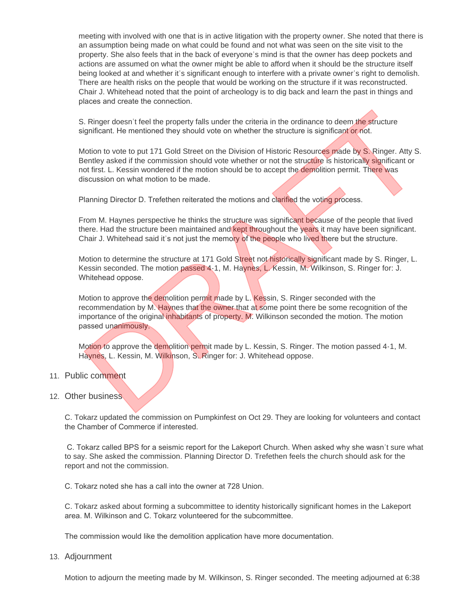meeting with involved with one that is in active litigation with the property owner. She noted that there is an assumption being made on what could be found and not what was seen on the site visit to the property. She also feels that in the back of everyone's mind is that the owner has deep pockets and actions are assumed on what the owner might be able to afford when it should be the structure itself being looked at and whether it's significant enough to interfere with a private owner's right to demolish. There are health risks on the people that would be working on the structure if it was reconstructed. Chair J. Whitehead noted that the point of archeology is to dig back and learn the past in things and places and create the connection.

S. Ringer doesn't feel the property falls under the criteria in the ordinance to deem the structure significant. He mentioned they should vote on whether the structure is significant or not.

Motion to vote to put 171 Gold Street on the Division of Historic Resources made by S. Ringer. Atty S. Bentley asked if the commission should vote whether or not the structure is historically significant or not first. L. Kessin wondered if the motion should be to accept the demolition permit. There was discussion on what motion to be made. S. Ringer doesn't feel the property falls under the criteria in the ordinance to deem the structure ignificant. He mentioned they should vote on whether the structure is significant of not.<br>
Motion to vote to put 171 Gold

Planning Director D. Trefethen reiterated the motions and clarified the voting process.

From M. Haynes perspective he thinks the structure was significant because of the people that lived there. Had the structure been maintained and kept throughout the years it may have been significant. Chair J. Whitehead said it's not just the memory of the people who lived there but the structure.

Motion to determine the structure at 171 Gold Street not historically significant made by S. Ringer, L. Kessin seconded. The motion passed 4-1, M. Haynes, L. Kessin, M. Wilkinson, S. Ringer for: J. Whitehead oppose.

Motion to approve the demolition permit made by L. Kessin, S. Ringer seconded with the recommendation by M. Haynes that the owner that at some point there be some recognition of the importance of the original inhabitants of property. M. Wilkinson seconded the motion. The motion passed unanimously.

Motion to approve the demolition permit made by L. Kessin, S. Ringer. The motion passed 4-1, M. Haynes, L. Kessin, M. Wilkinson, S. Ringer for: J. Whitehead oppose.

## 11. Public comment

## 12. Other business

C. Tokarz updated the commission on Pumpkinfest on Oct 29. They are looking for volunteers and contact the Chamber of Commerce if interested.

 C. Tokarz called BPS for a seismic report for the Lakeport Church. When asked why she wasn't sure what to say. She asked the commission. Planning Director D. Trefethen feels the church should ask for the report and not the commission.

C. Tokarz noted she has a call into the owner at 728 Union.

C. Tokarz asked about forming a subcommittee to identity historically significant homes in the Lakeport area. M. Wilkinson and C. Tokarz volunteered for the subcommittee.

The commission would like the demolition application have more documentation.

13. Adjournment

Motion to adjourn the meeting made by M. Wilkinson, S. Ringer seconded. The meeting adjourned at 6:38